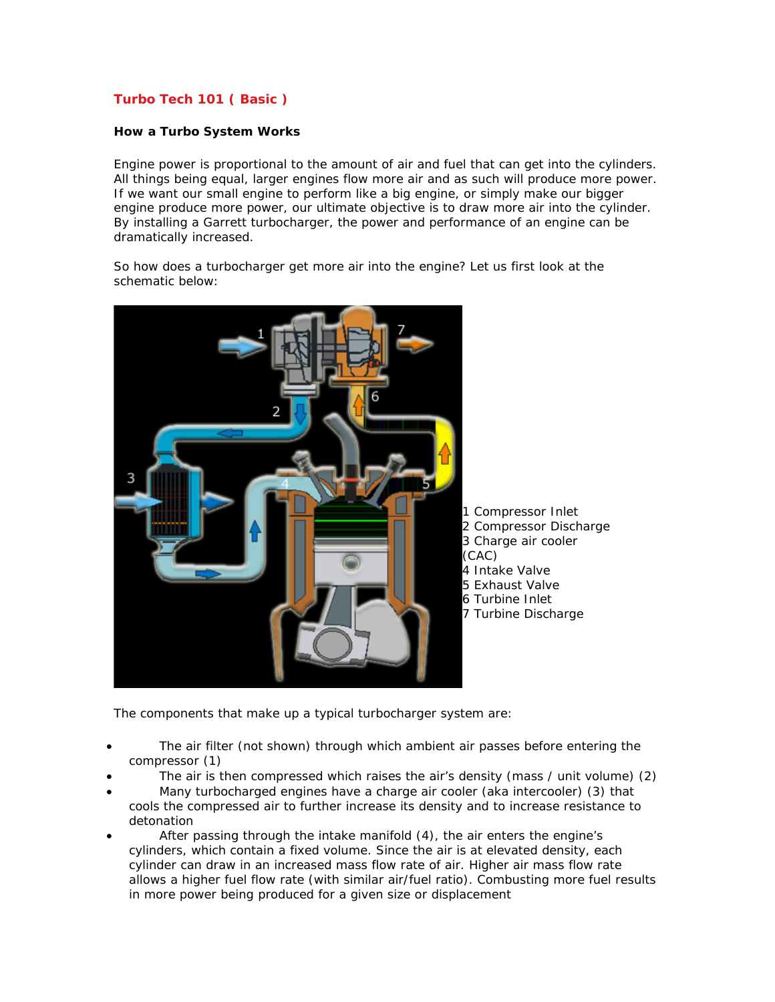# **Turbo Tech 101 ( Basic )**

### **How a Turbo System Works**

Engine power is proportional to the amount of air and fuel that can get into the cylinders. All things being equal, larger engines flow more air and as such will produce more power. If we want our small engine to perform like a big engine, or simply make our bigger engine produce more power, our ultimate objective is to draw more air into the cylinder. By installing a Garrett turbocharger, the power and performance of an engine can be dramatically increased.

So how does a turbocharger get more air into the engine? Let us first look at the schematic below:



The components that make up a typical turbocharger system are:

- The air filter (not shown) through which ambient air passes before entering the compressor (1)
- The air is then compressed which raises the air's density (mass / unit volume) (2)
- Many turbocharged engines have a charge air cooler (aka intercooler) (3) that cools the compressed air to further increase its density and to increase resistance to detonation
- After passing through the intake manifold (4), the air enters the engine's cylinders, which contain a fixed volume. Since the air is at elevated density, each cylinder can draw in an increased mass flow rate of air. Higher air mass flow rate allows a higher fuel flow rate (with similar air/fuel ratio). Combusting more fuel results in more power being produced for a given size or displacement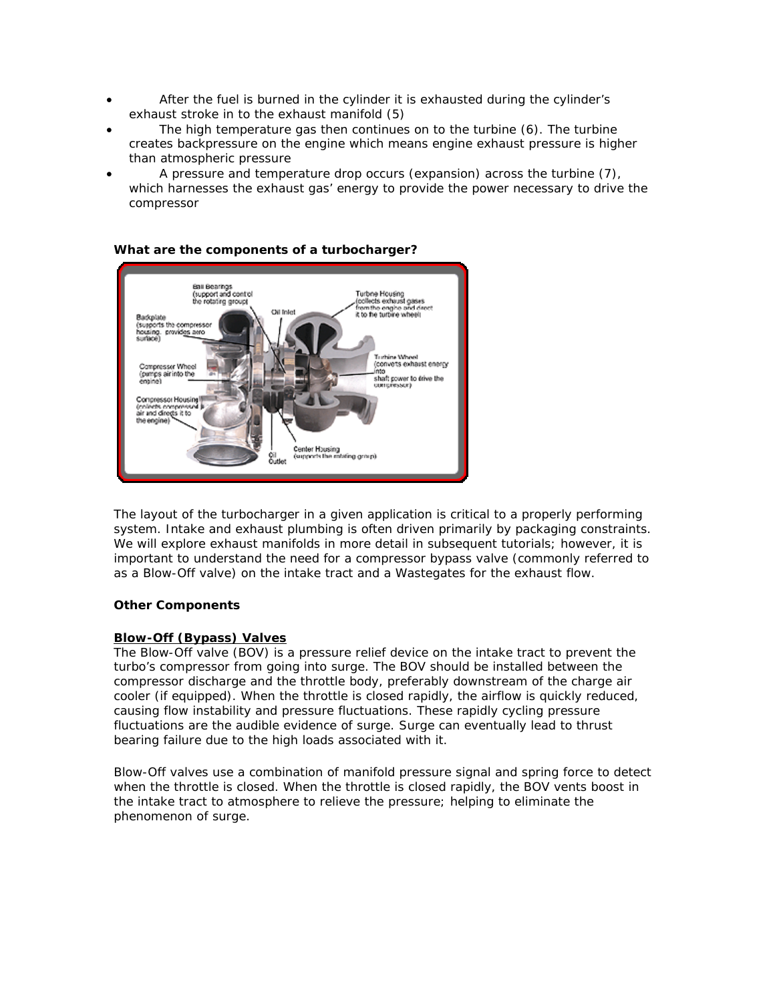- After the fuel is burned in the cylinder it is exhausted during the cylinder's exhaust stroke in to the exhaust manifold (5)
- The high temperature gas then continues on to the turbine (6). The turbine creates backpressure on the engine which means engine exhaust pressure is higher than atmospheric pressure
- A pressure and temperature drop occurs (expansion) across the turbine (7), which harnesses the exhaust gas' energy to provide the power necessary to drive the compressor

#### Ball Bearings<br>(support and control<br>the rotating group) .<br>[collects exhaust gases<br>from the engine and dir from the engine and di<br>it to the turbine wheeli CM Inlet adoplate (supports the compresso housing. provid<u>es aero</u><br>surface) Turbine Wheel<br>(convets exhaust energy Compressor Wheel (pumps airinto the shaft power to drive the **CONTENSIONER** Conpressor Housing<br>Icoleds conpressed air and directs it to the engine) Center Housing<br>(supports the rotating group) oil<br>Outlet

**What are the components of a turbocharger?**

The layout of the turbocharger in a given application is critical to a properly performing system. Intake and exhaust plumbing is often driven primarily by packaging constraints. We will explore exhaust manifolds in more detail in subsequent tutorials; however, it is important to understand the need for a compressor bypass valve (commonly referred to as a Blow-Off valve) on the intake tract and a Wastegates for the exhaust flow.

## **Other Components**

## **Blow-Off (Bypass) Valves**

The Blow-Off valve (BOV) is a pressure relief device on the intake tract to prevent the turbo's compressor from going into surge. The BOV should be installed between the compressor discharge and the throttle body, preferably downstream of the charge air cooler (if equipped). When the throttle is closed rapidly, the airflow is quickly reduced, causing flow instability and pressure fluctuations. These rapidly cycling pressure fluctuations are the audible evidence of surge. Surge can eventually lead to thrust bearing failure due to the high loads associated with it.

Blow-Off valves use a combination of manifold pressure signal and spring force to detect when the throttle is closed. When the throttle is closed rapidly, the BOV vents boost in the intake tract to atmosphere to relieve the pressure; helping to eliminate the phenomenon of surge.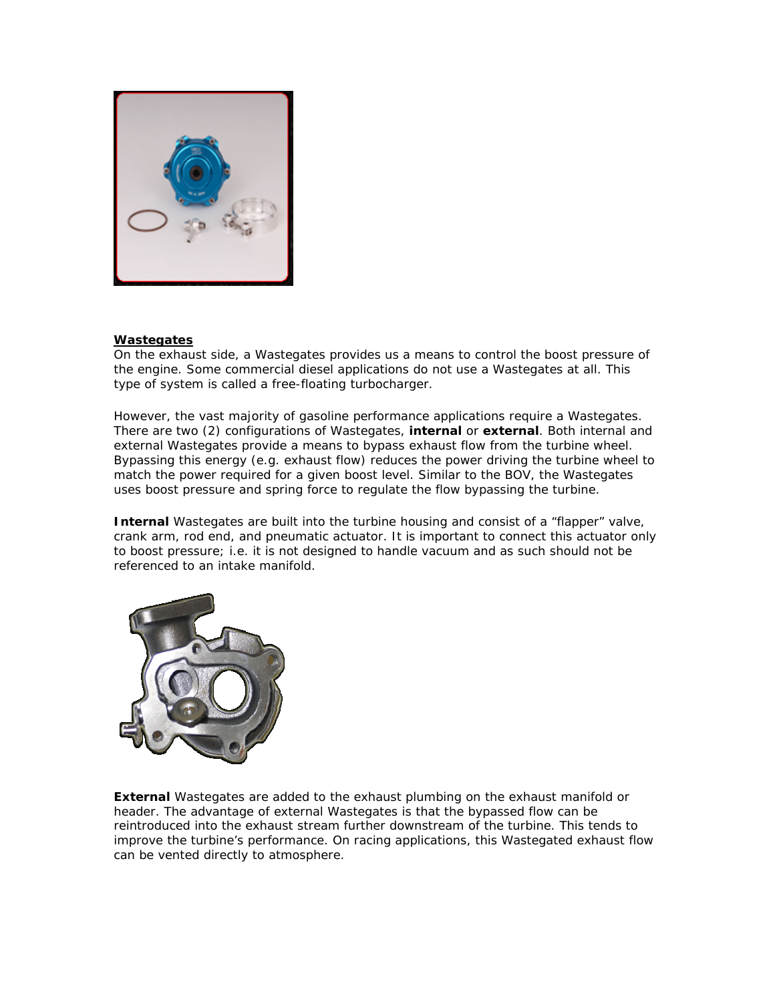

### **Wastegates**

On the exhaust side, a Wastegates provides us a means to control the boost pressure of the engine. Some commercial diesel applications do not use a Wastegates at all. This type of system is called a free-floating turbocharger.

However, the vast majority of gasoline performance applications require a Wastegates. There are two (2) configurations of Wastegates, **internal** or **external**. Both internal and external Wastegates provide a means to bypass exhaust flow from the turbine wheel. Bypassing this energy (e.g. exhaust flow) reduces the power driving the turbine wheel to match the power required for a given boost level. Similar to the BOV, the Wastegates uses boost pressure and spring force to regulate the flow bypassing the turbine.

**Internal** Wastegates are built into the turbine housing and consist of a "flapper" valve, crank arm, rod end, and pneumatic actuator. It is important to connect this actuator only to boost pressure; i.e. it is not designed to handle vacuum and as such should not be referenced to an intake manifold.



**External** Wastegates are added to the exhaust plumbing on the exhaust manifold or header. The advantage of external Wastegates is that the bypassed flow can be reintroduced into the exhaust stream further downstream of the turbine. This tends to improve the turbine's performance. On racing applications, this Wastegated exhaust flow can be vented directly to atmosphere.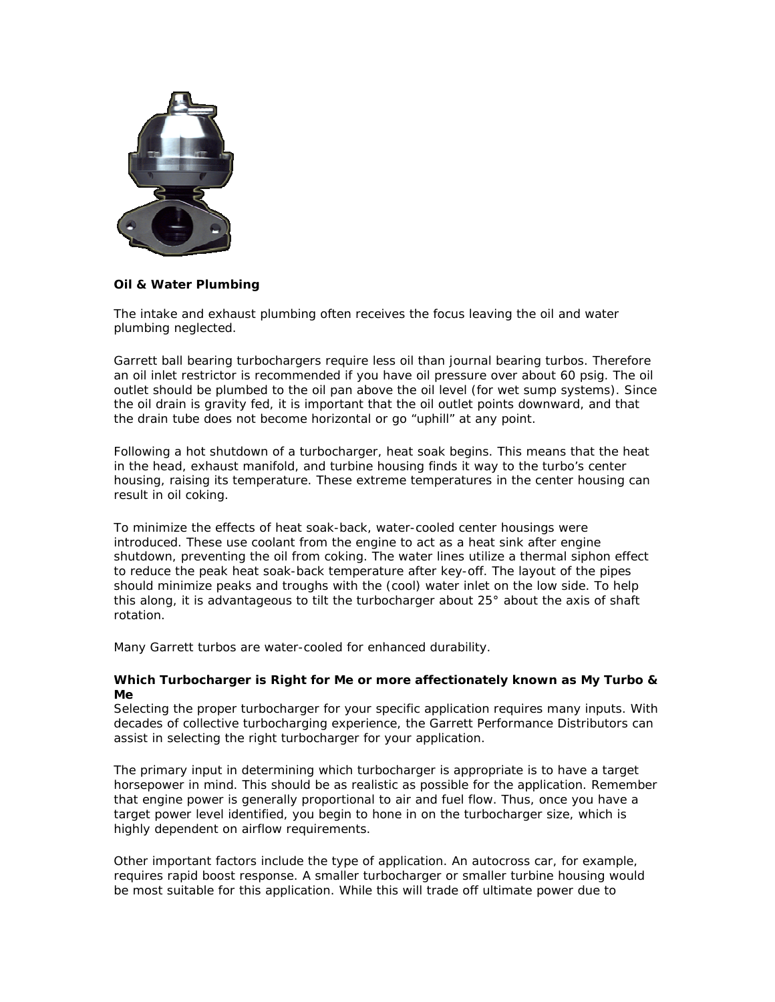

### **Oil & Water Plumbing**

The intake and exhaust plumbing often receives the focus leaving the oil and water plumbing neglected.

Garrett ball bearing turbochargers require less oil than journal bearing turbos. Therefore an oil inlet restrictor is recommended if you have oil pressure over about 60 psig. The oil outlet should be plumbed to the oil pan above the oil level (for wet sump systems). Since the oil drain is gravity fed, it is important that the oil outlet points downward, and that the drain tube does not become horizontal or go "uphill" at any point.

Following a hot shutdown of a turbocharger, heat soak begins. This means that the heat in the head, exhaust manifold, and turbine housing finds it way to the turbo's center housing, raising its temperature. These extreme temperatures in the center housing can result in oil coking.

To minimize the effects of heat soak-back, water-cooled center housings were introduced. These use coolant from the engine to act as a heat sink after engine shutdown, preventing the oil from coking. The water lines utilize a thermal siphon effect to reduce the peak heat soak-back temperature after key-off. The layout of the pipes should minimize peaks and troughs with the (cool) water inlet on the low side. To help this along, it is advantageous to tilt the turbocharger about 25° about the axis of shaft rotation.

Many Garrett turbos are water-cooled for enhanced durability.

#### **Which Turbocharger is Right for Me or more affectionately known as My Turbo & Me**

Selecting the proper turbocharger for your specific application requires many inputs. With decades of collective turbocharging experience, the Garrett Performance Distributors can assist in selecting the right turbocharger for your application.

The primary input in determining which turbocharger is appropriate is to have a target horsepower in mind. This should be as realistic as possible for the application. Remember that engine power is generally proportional to air and fuel flow. Thus, once you have a target power level identified, you begin to hone in on the turbocharger size, which is highly dependent on airflow requirements.

Other important factors include the type of application. An autocross car, for example, requires rapid boost response. A smaller turbocharger or smaller turbine housing would be most suitable for this application. While this will trade off ultimate power due to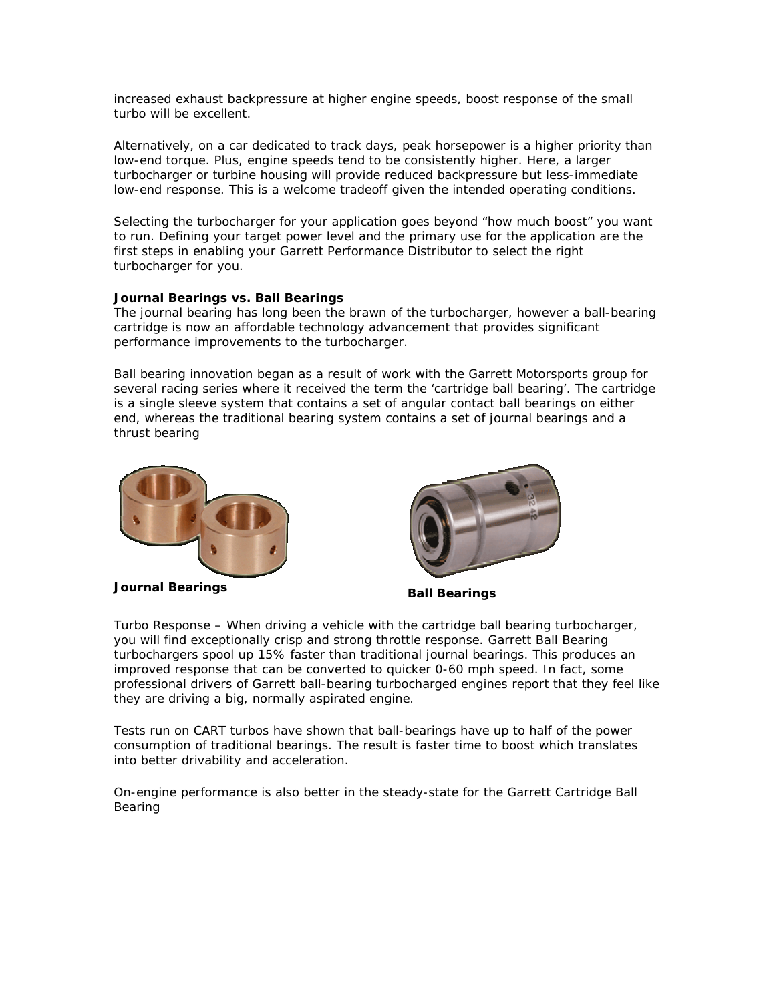increased exhaust backpressure at higher engine speeds, boost response of the small turbo will be excellent.

Alternatively, on a car dedicated to track days, peak horsepower is a higher priority than low-end torque. Plus, engine speeds tend to be consistently higher. Here, a larger turbocharger or turbine housing will provide reduced backpressure but less-immediate low-end response. This is a welcome tradeoff given the intended operating conditions.

Selecting the turbocharger for your application goes beyond "how much boost" you want to run. Defining your target power level and the primary use for the application are the first steps in enabling your Garrett Performance Distributor to select the right turbocharger for you.

#### **Journal Bearings vs. Ball Bearings**

The journal bearing has long been the brawn of the turbocharger, however a ball-bearing cartridge is now an affordable technology advancement that provides significant performance improvements to the turbocharger.

Ball bearing innovation began as a result of work with the Garrett Motorsports group for several racing series where it received the term the 'cartridge ball bearing'. The cartridge is a single sleeve system that contains a set of angular contact ball bearings on either end, whereas the traditional bearing system contains a set of journal bearings and a thrust bearing



**Journal Bearings Ball Bearings** 



Turbo Response – When driving a vehicle with the cartridge ball bearing turbocharger, you will find exceptionally crisp and strong throttle response. Garrett Ball Bearing turbochargers spool up 15% faster than traditional journal bearings. This produces an improved response that can be converted to quicker 0-60 mph speed. In fact, some professional drivers of Garrett ball-bearing turbocharged engines report that they feel like they are driving a big, normally aspirated engine.

Tests run on CART turbos have shown that ball-bearings have up to half of the power consumption of traditional bearings. The result is faster time to boost which translates into better drivability and acceleration.

On-engine performance is also better in the steady-state for the Garrett Cartridge Ball Bearing